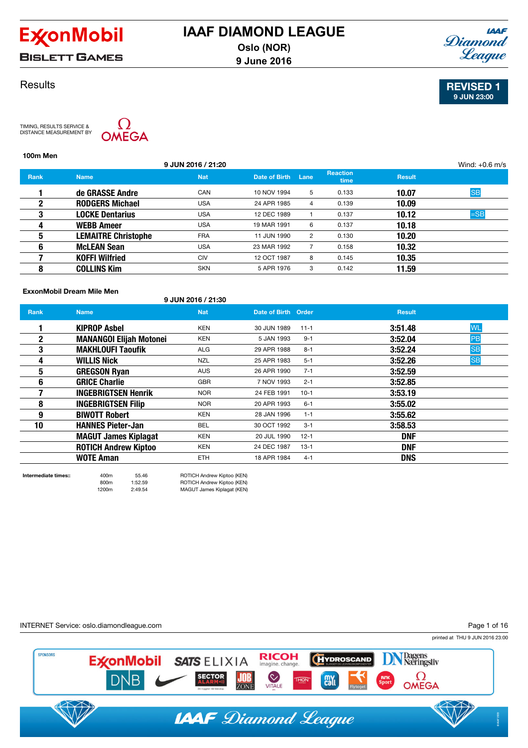

**BISLETT GAMES** 

## **Results**

TIMING, RESULTS SERVICE & DISTANCE MEASUREMENT BY



| 100m Men    |                            |                    |               |                |                         |               |                  |
|-------------|----------------------------|--------------------|---------------|----------------|-------------------------|---------------|------------------|
|             |                            | 9 JUN 2016 / 21:20 |               |                |                         |               | Wind: $+0.6$ m/s |
| <b>Rank</b> | <b>Name</b>                | <b>Nat</b>         | Date of Birth | Lane           | <b>Reaction</b><br>time | <b>Result</b> |                  |
|             | de GRASSE Andre            | CAN                | 10 NOV 1994   | 5              | 0.133                   | 10.07         | <b>SB</b>        |
| 2           | <b>RODGERS Michael</b>     | <b>USA</b>         | 24 APR 1985   | 4              | 0.139                   | 10.09         |                  |
| 3           | <b>LOCKE Dentarius</b>     | <b>USA</b>         | 12 DEC 1989   |                | 0.137                   | 10.12         | $=$ SB           |
| 4           | <b>WEBB Ameer</b>          | <b>USA</b>         | 19 MAR 1991   | 6              | 0.137                   | 10.18         |                  |
| 5           | <b>LEMAITRE Christophe</b> | <b>FRA</b>         | 11 JUN 1990   | $\overline{2}$ | 0.130                   | 10.20         |                  |
| 6           | <b>McLEAN Sean</b>         | <b>USA</b>         | 23 MAR 1992   |                | 0.158                   | 10.32         |                  |
|             | <b>KOFFI Wilfried</b>      | CIV                | 12 OCT 1987   | 8              | 0.145                   | 10.35         |                  |
| 8           | <b>COLLINS Kim</b>         | <b>SKN</b>         | 5 APR 1976    | 3              | 0.142                   | 11.59         |                  |
|             |                            |                    |               |                |                         |               |                  |

#### ExxonMobil Dream Mile Men

| 9 JUN 2016 / 21:30 |  |
|--------------------|--|
|--------------------|--|

| <b>Rank</b> | <b>Name</b>                    | <b>Nat</b> | Date of Birth Order |          | <b>Result</b> |           |
|-------------|--------------------------------|------------|---------------------|----------|---------------|-----------|
|             | <b>KIPROP Asbel</b>            | <b>KEN</b> | 30 JUN 1989         | $11 - 1$ | 3:51.48       | <b>WL</b> |
| 2           | <b>MANANGOI Elijah Motonei</b> | <b>KEN</b> | 5 JAN 1993          | $9 - 1$  | 3:52.04       | PB        |
| 3           | <b>MAKHLOUFI Taoufik</b>       | ALG        | 29 APR 1988         | $8 - 1$  | 3:52.24       | <b>SB</b> |
| 4           | <b>WILLIS Nick</b>             | NZL        | 25 APR 1983         | $5 - 1$  | 3:52.26       | <b>SB</b> |
| 5           | <b>GREGSON Ryan</b>            | <b>AUS</b> | 26 APR 1990         | $7 - 1$  | 3:52.59       |           |
| 6           | <b>GRICE Charlie</b>           | <b>GBR</b> | 7 NOV 1993          | $2 - 1$  | 3:52.85       |           |
|             | <b>INGEBRIGTSEN Henrik</b>     | <b>NOR</b> | 24 FEB 1991         | $10-1$   | 3:53.19       |           |
| 8           | <b>INGEBRIGTSEN Filip</b>      | <b>NOR</b> | 20 APR 1993         | $6 - 1$  | 3:55.02       |           |
| 9           | <b>BIWOTT Robert</b>           | <b>KEN</b> | 28 JAN 1996         | $1 - 1$  | 3:55.62       |           |
| 10          | <b>HANNES Pieter-Jan</b>       | BEL        | 30 OCT 1992         | $3 - 1$  | 3:58.53       |           |
|             | <b>MAGUT James Kiplagat</b>    | <b>KEN</b> | 20 JUL 1990         | $12 - 1$ | <b>DNF</b>    |           |
|             | <b>ROTICH Andrew Kiptoo</b>    | <b>KEN</b> | 24 DEC 1987         | $13 - 1$ | <b>DNF</b>    |           |
|             | <b>WOTE Aman</b>               | <b>ETH</b> | 18 APR 1984         | $4 - 1$  | <b>DNS</b>    |           |

**SPONSORS** 

Intermediate times:: 400m 55.46 ROTICH Andrew Kiptoo (KEN) 800m 1:52.59 ROTICH Andrew Kiptoo (KEN)<br>1200m 2:49.54 MAGUT James Kiplagat (KEN) MAGUT James Kiplagat (KEN)

INTERNET Service: oslo.diamondleague.com

**DNB** 

printed at THU 9 JUN 2016 23:00 Page 1 of 16



 $\Omega$ OMEGA



**THON** 

**Call** 





JOB

ZONE

imagine, change.

VITALE



**SECTOR**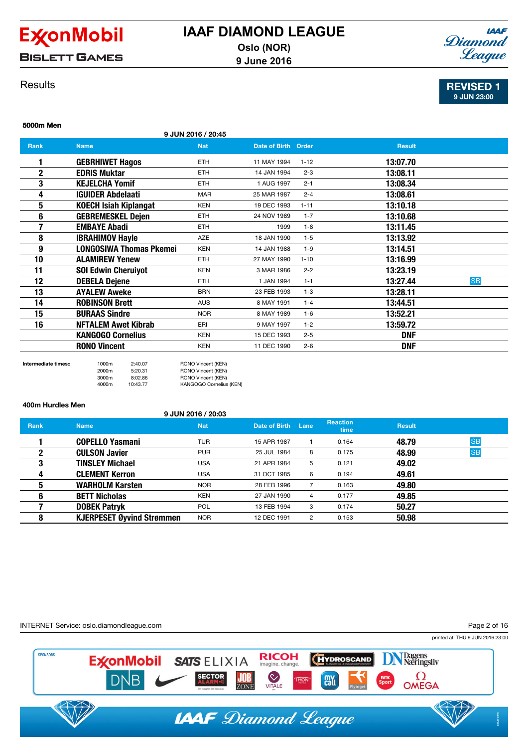

**BISLETT GAMES** 

## **IAAF** Diamond League

## **Results**

REVISED 1 9 JUN 23:00

### 5000m Men

|  |  | 9 JUN 2016 / 20:45 |
|--|--|--------------------|
|  |  |                    |

| <b>Rank</b> | <b>Name</b>                  | <b>Nat</b> | Date of Birth Order |          | <b>Result</b>         |
|-------------|------------------------------|------------|---------------------|----------|-----------------------|
|             | <b>GEBRHIWET Hagos</b>       | <b>ETH</b> | 11 MAY 1994         | $1 - 12$ | 13:07.70              |
| $\mathbf 2$ | <b>EDRIS Muktar</b>          | <b>ETH</b> | 14 JAN 1994         | $2 - 3$  | 13:08.11              |
| 3           | <b>KEJELCHA Yomif</b>        | ETH        | 1 AUG 1997          | $2 - 1$  | 13:08.34              |
| 4           | <b>IGUIDER Abdelaati</b>     | <b>MAR</b> | 25 MAR 1987         | $2 - 4$  | 13:08.61              |
| 5           | <b>KOECH Isiah Kiplangat</b> | <b>KEN</b> | 19 DEC 1993         | $1 - 11$ | 13:10.18              |
| 6           | <b>GEBREMESKEL Dejen</b>     | <b>ETH</b> | 24 NOV 1989         | $1 - 7$  | 13:10.68              |
|             | <b>EMBAYE Abadi</b>          | <b>ETH</b> | 1999                | $1 - 8$  | 13:11.45              |
| 8           | <b>IBRAHIMOV Hayle</b>       | <b>AZE</b> | 18 JAN 1990         | $1 - 5$  | 13:13.92              |
| 9           | LONGOSIWA Thomas Pkemei      | <b>KEN</b> | 14 JAN 1988         | $1 - 9$  | 13:14.51              |
| 10          | <b>ALAMIREW Yenew</b>        | <b>ETH</b> | 27 MAY 1990         | $1 - 10$ | 13:16.99              |
| 11          | <b>SOI Edwin Cheruiyot</b>   | <b>KEN</b> | 3 MAR 1986          | $2 - 2$  | 13:23.19              |
| 12          | <b>DEBELA Dejene</b>         | <b>ETH</b> | 1 JAN 1994          | $1 - 1$  | <b>SB</b><br>13:27.44 |
| 13          | <b>AYALEW Aweke</b>          | <b>BRN</b> | 23 FEB 1993         | $1 - 3$  | 13:28.11              |
| 14          | <b>ROBINSON Brett</b>        | <b>AUS</b> | 8 MAY 1991          | $1 - 4$  | 13:44.51              |
| 15          | <b>BURAAS Sindre</b>         | <b>NOR</b> | 8 MAY 1989          | $1 - 6$  | 13:52.21              |
| 16          | <b>NFTALEM Awet Kibrab</b>   | ERI        | 9 MAY 1997          | $1 - 2$  | 13:59.72              |
|             | <b>KANGOGO Cornelius</b>     | <b>KEN</b> | 15 DEC 1993         | $2 - 5$  | <b>DNF</b>            |
|             | <b>RONO Vincent</b>          | <b>KEN</b> | 11 DEC 1990         | $2 - 6$  | <b>DNF</b>            |

Intermediate times:: 1000m 2:40.07 RONO Vincent (KEN)

2000m 5:20.31 RONO Vincent (KEN) 3000m 8:02.86 RONO Vincent (KEN) 4000m 10:43.77 KANGOGO Cornelius (KEN)

400m Hurdles Men

9 JUN 2016 / 20:03

| <b>Rank</b> | <b>Name</b>                      | <b>Nat</b> | Date of Birth | Lane | <b>Reaction</b><br>time | <b>Result</b> |           |
|-------------|----------------------------------|------------|---------------|------|-------------------------|---------------|-----------|
|             | <b>COPELLO Yasmani</b>           | <b>TUR</b> | 15 APR 1987   |      | 0.164                   | 48.79         | <b>SB</b> |
| 2           | <b>CULSON Javier</b>             | <b>PUR</b> | 25 JUL 1984   | 8    | 0.175                   | 48.99         | <b>SB</b> |
| 3           | <b>TINSLEY Michael</b>           | <b>USA</b> | 21 APR 1984   | 5    | 0.121                   | 49.02         |           |
| 4           | <b>CLEMENT Kerron</b>            | <b>USA</b> | 31 OCT 1985   | 6    | 0.194                   | 49.61         |           |
| 5           | <b>WARHOLM Karsten</b>           | <b>NOR</b> | 28 FEB 1996   |      | 0.163                   | 49.80         |           |
| 6           | <b>BETT Nicholas</b>             | <b>KEN</b> | 27 JAN 1990   | 4    | 0.177                   | 49.85         |           |
|             | <b>DOBEK Patryk</b>              | <b>POL</b> | 13 FEB 1994   | 3    | 0.174                   | 50.27         |           |
| 8           | <b>KJERPESET Øyvind Strømmen</b> | <b>NOR</b> | 12 DEC 1991   | 2    | 0.153                   | 50.98         |           |

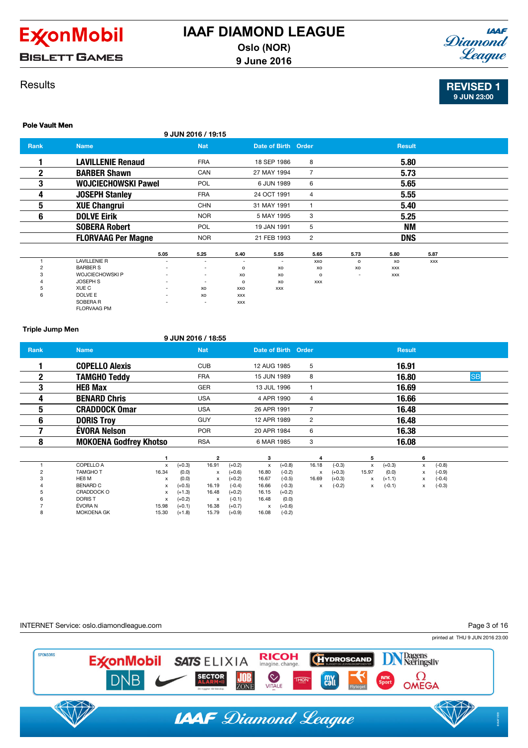

**BISLETT GAMES** 

### **Results**



REVISED 1 9 JUN 23:00

## Pole Vault Men

| ----------   |                                |      | 9 JUN 2016 / 19:15       |            |                     |                |         |               |            |  |
|--------------|--------------------------------|------|--------------------------|------------|---------------------|----------------|---------|---------------|------------|--|
| Rank         | <b>Name</b>                    |      | <b>Nat</b>               |            | Date of Birth Order |                |         | <b>Result</b> |            |  |
|              | <b>LAVILLENIE Renaud</b>       |      | <b>FRA</b>               |            | 18 SEP 1986         | 8              |         | 5.80          |            |  |
| $\mathbf{2}$ | <b>BARBER Shawn</b>            |      | CAN                      |            | 27 MAY 1994         | $\overline{7}$ |         | 5.73          |            |  |
| 3            | <b>WOJCIECHOWSKI Pawel</b>     |      | POL                      |            | 6 JUN 1989          | 6              |         | 5.65          |            |  |
| 4            | <b>JOSEPH Stanley</b>          |      | <b>FRA</b>               |            | 24 OCT 1991         | 4              |         | 5.55          |            |  |
| 5            | <b>XUE Changrui</b>            |      | <b>CHN</b>               |            | 31 MAY 1991         | 1              |         | 5.40          |            |  |
| 6            | <b>DOLVE Eirik</b>             |      | <b>NOR</b>               |            | 5 MAY 1995          | 3              |         | 5.25          |            |  |
|              | <b>SOBERA Robert</b>           |      | <b>POL</b>               |            | 19 JAN 1991         | 5              |         | ΝM            |            |  |
|              | <b>FLORVAAG Per Magne</b>      |      | <b>NOR</b>               |            | 21 FEB 1993         | 2              |         | <b>DNS</b>    |            |  |
|              |                                | 5.05 | 5.25                     | 5.40       | 5.55                | 5.65           | 5.73    | 5.80          | 5.87       |  |
|              | <b>LAVILLENIE R</b>            | ٠    | $\overline{\phantom{a}}$ | ۰          | ٠                   | XXO            | $\circ$ | XO            | <b>XXX</b> |  |
| 2            | <b>BARBER S</b>                |      | ٠                        | $\circ$    | XO                  | XO             | XO      | <b>XXX</b>    |            |  |
| 3            | <b>WOJCIECHOWSKI P</b>         | ٠    | $\overline{\phantom{a}}$ | xo         | XO                  | $\circ$        |         | <b>XXX</b>    |            |  |
|              | JOSEPH S                       | ٠    | $\overline{\phantom{a}}$ | o          | XO                  | <b>XXX</b>     |         |               |            |  |
| 5            | XUE C                          | -    | XO                       | XXO        | <b>XXX</b>          |                |         |               |            |  |
| 6            | DOLVE E                        | ٠    | XO                       | <b>XXX</b> |                     |                |         |               |            |  |
|              | SOBERA R<br><b>FLORVAAG PM</b> |      |                          | <b>XXX</b> |                     |                |         |               |            |  |

#### Triple Jump Men

### 9 JUN 2016 / 18:55

| <b>Rank</b>  | <b>Name</b>                   |              |          | <b>Nat</b>              |          | Date of Birth Order |          |                |          |       | <b>Result</b> |              |          |           |  |
|--------------|-------------------------------|--------------|----------|-------------------------|----------|---------------------|----------|----------------|----------|-------|---------------|--------------|----------|-----------|--|
|              | <b>COPELLO Alexis</b>         |              |          | <b>CUB</b>              |          | 12 AUG 1985         |          | 5              |          |       | 16.91         |              |          |           |  |
| $\mathbf{2}$ | <b>TAMGHO Teddy</b>           |              |          | <b>FRA</b>              |          | 15 JUN 1989         |          | 8              |          |       | 16.80         |              |          | <b>SB</b> |  |
| 3            | <b>HEB Max</b>                |              |          | GER                     |          | 13 JUL 1996         |          |                |          |       | 16.69         |              |          |           |  |
| 4            | <b>BENARD Chris</b>           |              |          | <b>USA</b>              |          | 4 APR 1990          |          | 4              |          |       | 16.66         |              |          |           |  |
| 5            | <b>CRADDOCK Omar</b>          |              |          | <b>USA</b>              |          | 26 APR 1991         |          | $\overline{7}$ |          |       | 16.48         |              |          |           |  |
| 6            | <b>DORIS Troy</b>             |              |          | <b>GUY</b>              |          | 12 APR 1989         |          | $\overline{2}$ |          |       | 16.48         |              |          |           |  |
|              | <b>ÉVORA Nelson</b>           |              |          | <b>POR</b>              |          | 20 APR 1984         |          | 6              |          |       | 16.38         |              |          |           |  |
| 8            | <b>MOKOENA Godfrey Khotso</b> |              |          | <b>RSA</b>              |          | 6 MAR 1985          |          | 3              |          |       | 16.08         |              |          |           |  |
|              |                               |              |          | $\overline{\mathbf{2}}$ |          | 3                   |          | 4              |          | 5     |               | 6            |          |           |  |
|              | COPELLO A                     | $\mathsf{x}$ | $(+0.3)$ | 16.91                   | $(+0.2)$ | x                   | $(+0.8)$ | 16.18          | $(-0.3)$ | x     | $(+0.3)$      | $\mathsf{x}$ | $(-0.8)$ |           |  |
|              | <b>TAMGHOT</b>                | 16.34        | (0.0)    | x                       | $(+0.6)$ | 16.80               | $(-0.2)$ | X              | $(+0.3)$ | 15.97 | (0.0)         | x            | $(-0.9)$ |           |  |
|              | HE <sub>B</sub> M             | х            | (0.0)    | x                       | $(+0.2)$ | 16.67               | $(-0.5)$ | 16.69          | $(+0.3)$ | х     | $(+1.1)$      | x            | $(-0.4)$ |           |  |
|              | <b>BENARD C</b>               | x            | $(+0.5)$ | 16.19                   | $(-0.4)$ | 16.66               | $(-0.3)$ | х              | $(-0.2)$ | x     | $(-0.1)$      | x            | $(-0.3)$ |           |  |
|              | CRADDOCK O                    | x            | $(+1.3)$ | 16.48                   | $(+0.2)$ | 16.15               | $(+0.2)$ |                |          |       |               |              |          |           |  |
|              | <b>DORIST</b>                 | х            | $(+0.2)$ | x                       | $(-0.1)$ | 16.48               | (0.0)    |                |          |       |               |              |          |           |  |
|              | ÉVORA N                       | 15.98        | $(+0.1)$ | 16.38                   | $(+0.7)$ | х                   | $(+0.6)$ |                |          |       |               |              |          |           |  |
|              | <b>MOKOENA GK</b>             | 15.30        | $(+1.8)$ | 15.79                   | $(+0.9)$ | 16.08               | $(-0.2)$ |                |          |       |               |              |          |           |  |

#### INTERNET Service: oslo.diamondleague.com

Page 3 of 16

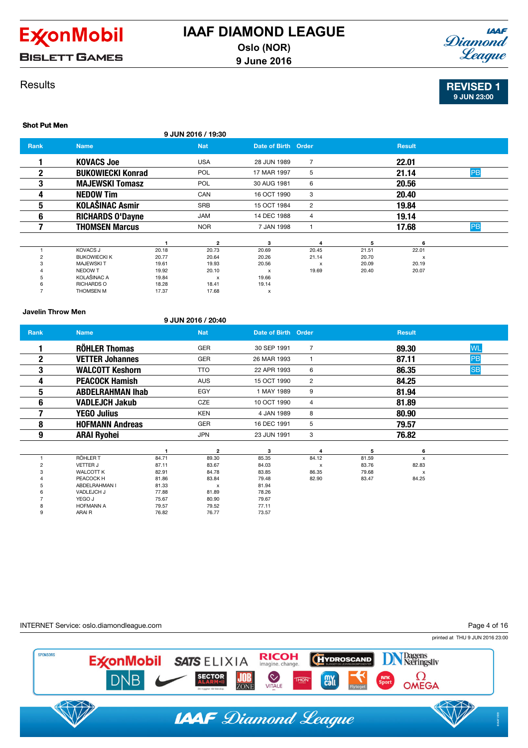

**BISLETT GAMES** 

## **IAAF** Diamond League

## **Results**

Shot Put Men

REVISED 1 9 JUN 23:00

|                |                          |       | 9 JUN 2016 / 19:30        |                           |                |       |               |    |
|----------------|--------------------------|-------|---------------------------|---------------------------|----------------|-------|---------------|----|
| <b>Rank</b>    | <b>Name</b>              |       | <b>Nat</b>                | Date of Birth Order       |                |       | <b>Result</b> |    |
|                | <b>KOVACS Joe</b>        |       | <b>USA</b>                | 28 JUN 1989               | 7              |       | 22.01         |    |
| 2              | <b>BUKOWIECKI Konrad</b> |       | POL                       | 17 MAR 1997               | 5              |       | 21.14         | PB |
| 3              | <b>MAJEWSKI Tomasz</b>   |       | <b>POL</b>                | 30 AUG 1981               | 6              |       | 20.56         |    |
| 4              | <b>NEDOW Tim</b>         |       | CAN                       | 16 OCT 1990               | 3              |       | 20.40         |    |
| 5              | <b>KOLAŠINAC Asmir</b>   |       | <b>SRB</b>                | 15 OCT 1984               | $\overline{2}$ |       | 19.84         |    |
| 6              | <b>RICHARDS O'Dayne</b>  |       | JAM                       | 14 DEC 1988               | 4              |       | 19.14         |    |
|                | <b>THOMSEN Marcus</b>    |       | <b>NOR</b>                | 7 JAN 1998                |                |       | 17.68         | PB |
|                |                          |       | $\overline{2}$            | 3                         | 4              | 5     | 6             |    |
|                | <b>KOVACS J</b>          | 20.18 | 20.73                     | 20.69                     | 20.45          | 21.51 | 22.01         |    |
| $\overline{c}$ | <b>BUKOWIECKI K</b>      | 20.77 | 20.64                     | 20.26                     | 21.14          | 20.70 | x             |    |
| 3              | <b>MAJEWSKIT</b>         | 19.61 | 19.93                     | 20.56                     | X              | 20.09 | 20.19         |    |
|                | NEDOW T                  | 19.92 | 20.10                     | $\boldsymbol{\mathsf{x}}$ | 19.69          | 20.40 | 20.07         |    |
|                | KOLAŠINAC A              | 19.84 | $\boldsymbol{\mathsf{x}}$ | 19.66                     |                |       |               |    |
|                | <b>RICHARDS O</b>        | 18.28 | 18.41                     | 19.14                     |                |       |               |    |
|                | <b>THOMSEN M</b>         | 17.37 | 17.68                     | x                         |                |       |               |    |

#### Javelin Throw Men

### 9 JUN 2016 / 20:40

9 ARAI R 76.82 76.77 73.57

| Rank         | <b>Name</b>             |                | <b>Nat</b>                | Date of Birth Order |                |       | <b>Result</b>             |           |
|--------------|-------------------------|----------------|---------------------------|---------------------|----------------|-------|---------------------------|-----------|
|              | <b>RÖHLER Thomas</b>    |                | <b>GER</b>                | 30 SEP 1991         | $\overline{7}$ |       | 89.30                     | <b>WL</b> |
| $\mathbf{2}$ | <b>VETTER Johannes</b>  |                | <b>GER</b>                | 26 MAR 1993         |                |       | 87.11                     | PB        |
| 3            | <b>WALCOTT Keshorn</b>  |                | <b>TTO</b>                | 22 APR 1993         | 6              |       | 86.35                     | <b>SB</b> |
| 4            | <b>PEACOCK Hamish</b>   |                | <b>AUS</b>                | 15 OCT 1990         | $\overline{2}$ |       | 84.25                     |           |
| 5            | <b>ABDELRAHMAN Ihab</b> |                | EGY                       | 1 MAY 1989          | 9              |       | 81.94                     |           |
| 6            | <b>VADLEJCH Jakub</b>   |                | CZE                       | 10 OCT 1990         | 4              |       | 81.89                     |           |
|              | <b>YEGO Julius</b>      |                | <b>KEN</b>                | 4 JAN 1989          | 8              |       | 80.90                     |           |
| 8            | <b>HOFMANN Andreas</b>  |                | <b>GER</b>                | 16 DEC 1991         | 5              |       | 79.57                     |           |
| 9            | <b>ARAI Ryohei</b>      |                | <b>JPN</b>                | 23 JUN 1991         | 3              |       | 76.82                     |           |
|              |                         |                |                           |                     |                |       |                           |           |
|              | RÖHLER T                |                | $\overline{2}$            | 3                   | 4              | 5     | 6                         |           |
| 2            | <b>VETTER J</b>         | 84.71<br>87.11 | 89.30                     | 85.35               | 84.12          | 81.59 | $\mathsf{x}$              |           |
|              |                         |                | 83.67                     | 84.03               | X              | 83.76 | 82.83                     |           |
|              | <b>WALCOTT K</b>        | 82.91          | 84.78                     | 83.85               | 86.35          | 79.68 | $\boldsymbol{\mathsf{x}}$ |           |
|              | PEACOCK H               | 81.86          | 83.84                     | 79.48               | 82.90          | 83.47 | 84.25                     |           |
|              | ABDELRAHMAN I           | 81.33          | $\boldsymbol{\mathsf{x}}$ | 81.94               |                |       |                           |           |
|              | VADLEJCH J              | 77.88          | 81.89                     | 78.26               |                |       |                           |           |
|              | YEGO J                  | 75.67          | 80.90                     | 79.67               |                |       |                           |           |
| 8            | <b>HOFMANN A</b>        | 79.57          | 79.52                     | 77.11               |                |       |                           |           |

INTERNET Service: oslo.diamondleague.com

Page 4 of 16

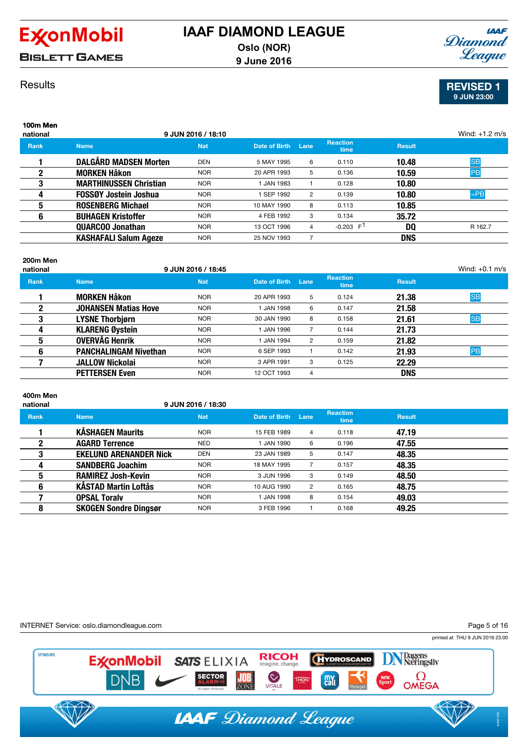

**BISLETT GAMES** 

## **IAAF** Diamond League

REVISED 1 9 JUN 23:00

## **Results**

| 100m Men<br>national |                               | 9 JUN 2016 / 18:10 |                 |      |                         |               | Wind: $+1.2$ m/s |
|----------------------|-------------------------------|--------------------|-----------------|------|-------------------------|---------------|------------------|
| <b>Rank</b>          | <b>Name</b>                   | <b>Nat</b>         | Date of Birth   | Lane | <b>Reaction</b><br>time | <b>Result</b> |                  |
|                      | <b>DALGÅRD MADSEN Morten</b>  | <b>DEN</b>         | 5 MAY 1995      | 6    | 0.110                   | 10.48         | <b>SB</b>        |
| $\mathbf{2}$         | <b>MORKEN Håkon</b>           | <b>NOR</b>         | 20 APR 1993     | 5    | 0.136                   | 10.59         | <b>PB</b>        |
| 3                    | <b>MARTHINUSSEN Christian</b> | <b>NOR</b>         | <b>JAN 1983</b> |      | 0.128                   | 10.80         |                  |
| 4                    | <b>FOSSØY Jostein Joshua</b>  | <b>NOR</b>         | SEP 1992        | 2    | 0.139                   | 10.80         | $=$ PB           |
| 5                    | <b>ROSENBERG Michael</b>      | <b>NOR</b>         | 10 MAY 1990     | 8    | 0.113                   | 10.85         |                  |
| 6                    | <b>BUHAGEN Kristoffer</b>     | <b>NOR</b>         | 4 FEB 1992      | 3    | 0.134                   | 35.72         |                  |
|                      | <b>QUARCOO Jonathan</b>       | <b>NOR</b>         | 13 OCT 1996     | 4    | $-0.203$ F <sup>1</sup> | DQ            | R 162.7          |
|                      | <b>KASHAFALI Salum Ageze</b>  | <b>NOR</b>         | 25 NOV 1993     |      |                         | <b>DNS</b>    |                  |

### 200m Men

| national    |                              | 9 JUN 2016 / 18:45 |               |                |                         |               | Wind: $+0.1$ m/s |
|-------------|------------------------------|--------------------|---------------|----------------|-------------------------|---------------|------------------|
| <b>Rank</b> | <b>Name</b>                  | <b>Nat</b>         | Date of Birth | Lane           | <b>Reaction</b><br>time | <b>Result</b> |                  |
|             | <b>MORKEN Håkon</b>          | <b>NOR</b>         | 20 APR 1993   | 5              | 0.124                   | 21.38         | <b>SB</b>        |
|             | <b>JOHANSEN Matias Hove</b>  | <b>NOR</b>         | 1 JAN 1998    | 6              | 0.147                   | 21.58         |                  |
| 3           | <b>LYSNE Thorbjørn</b>       | <b>NOR</b>         | 30 JAN 1990   | 8              | 0.158                   | 21.61         | <b>SB</b>        |
| 4           | <b>KLARENG Øystein</b>       | <b>NOR</b>         | 1 JAN 1996    |                | 0.144                   | 21.73         |                  |
| 5           | OVERVÅG Henrik               | <b>NOR</b>         | 1 JAN 1994    | 2              | 0.159                   | 21.82         |                  |
| 6           | <b>PANCHALINGAM Nivethan</b> | <b>NOR</b>         | 6 SEP 1993    |                | 0.142                   | 21.93         | PB               |
|             | <b>JALLOW Nickolai</b>       | <b>NOR</b>         | 3 APR 1991    | 3              | 0.125                   | 22.29         |                  |
|             | <b>PETTERSEN Even</b>        | <b>NOR</b>         | 12 OCT 1993   | $\overline{4}$ |                         | <b>DNS</b>    |                  |
|             |                              |                    |               |                |                         |               |                  |

# 400m Men

national 9 JUN 2016 / 18:30

| <b>Name</b>                   | <b>Nat</b> | Date of Birth   | Lane | <b>Reaction</b><br>time | <b>Result</b> |  |
|-------------------------------|------------|-----------------|------|-------------------------|---------------|--|
| <b>KÅSHAGEN Maurits</b>       | <b>NOR</b> | 15 FEB 1989     | 4    | 0.118                   | 47.19         |  |
| <b>AGARD Terrence</b>         | NED        | 1 JAN 1990      | 6    | 0.196                   | 47.55         |  |
| <b>EKELUND ARENANDER Nick</b> | <b>DEN</b> | 23 JAN 1989     | 5    | 0.147                   | 48.35         |  |
| <b>SANDBERG Joachim</b>       | <b>NOR</b> | 18 MAY 1995     |      | 0.157                   | 48.35         |  |
| <b>RAMIREZ Josh-Kevin</b>     | <b>NOR</b> | 3 JUN 1996      | 3    | 0.149                   | 48.50         |  |
| <b>KÄSTAD Martin Loftås</b>   | <b>NOR</b> | 10 AUG 1990     | 2    | 0.165                   | 48.75         |  |
| <b>OPSAL Toraly</b>           | <b>NOR</b> | <b>JAN 1998</b> | 8    | 0.154                   | 49.03         |  |
| <b>SKOGEN Sondre Dingsør</b>  | <b>NOR</b> | 3 FEB 1996      |      | 0.168                   | 49.25         |  |
|                               |            |                 |      |                         |               |  |

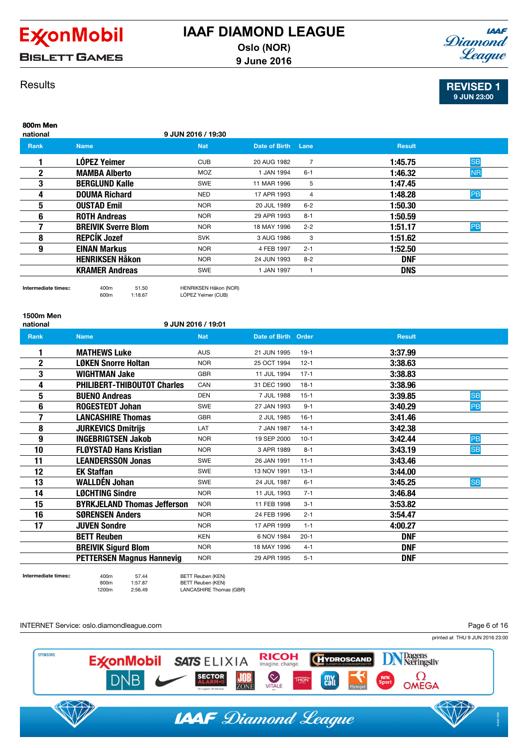

**BISLETT GAMES** 



### **Results**

REVISED 1 9 JUN 23:00

### 800m Men national 9 JUN 2016 / 19:30 **Rank Name Name Nat Date of Birth Lane Result** Result **1 LÓPEZ Yeimer** CUB 20 AUG 1982 7 **1:45.75** <mark>SB</mark> **2 MAMBA Alberto** MOZ 1JAN 1994 6-1 **1:46.32** NR **3 BERGLUND Kalle** SWE 11 MAR 1996 5 **1:47.45 4** DOUMA Richard NED 17 APR 1993 4 1:48.28 PB **5** OUSTAD Emil NOR 20 JUL 1989 6-2 1:50.30 **6 ROTH Andreas** NOR 29 APR 1993 8-1 1:50.59 **7** BREIVIK Sverre Blom NOR 18 MAY 1996 2-2 1:51.17 PB **8 REPCÍK Jozef** SVK 3 AUG 1986 3 1:51.62 **9 EINAN Markus NOR 4 FEB 1997 2-1 1:52.50 HENRIKSEN Håkon** NOR 24 JUN 1993 8-2 **DNF** KRAMER Andreas SWE 1 JAN 1997 1

### Intermediate times:: 400m 51.50 HENRIKSEN Håkon (NOR)

600m 1:18.67 LÓPEZ Yeimer (CUB)

1500m Men

#### national 9 JUN 2016 / 19:01

| <b>Rank</b>    | <b>Name</b>                        | <b>Nat</b> | Date of Birth | Order    | <b>Result</b>        |
|----------------|------------------------------------|------------|---------------|----------|----------------------|
|                | <b>MATHEWS Luke</b>                | <b>AUS</b> | 21 JUN 1995   | $19-1$   | 3:37.99              |
| $\overline{2}$ | <b>LØKEN Snorre Holtan</b>         | <b>NOR</b> | 25 OCT 1994   | $12 - 1$ | 3:38.63              |
| 3              | <b>WIGHTMAN Jake</b>               | <b>GBR</b> | 11 JUL 1994   | $17 - 1$ | 3:38.83              |
| 4              | <b>PHILIBERT-THIBOUTOT Charles</b> | CAN        | 31 DEC 1990   | $18-1$   | 3:38.96              |
| 5              | <b>BUENO Andreas</b>               | <b>DEN</b> | 7 JUL 1988    | $15-1$   | <b>SB</b><br>3:39.85 |
| 6              | <b>ROGESTEDT Johan</b>             | <b>SWE</b> | 27 JAN 1993   | $9 - 1$  | PB<br>3:40.29        |
| 7              | <b>LANCASHIRE Thomas</b>           | <b>GBR</b> | 2 JUL 1985    | $16-1$   | 3:41.46              |
| 8              | <b>JURKEVICS Dmitrijs</b>          | LAT        | 7 JAN 1987    | $14-1$   | 3:42.38              |
| 9              | <b>INGEBRIGTSEN Jakob</b>          | <b>NOR</b> | 19 SEP 2000   | $10-1$   | PB<br>3:42.44        |
| 10             | <b>FLØYSTAD Hans Kristian</b>      | <b>NOR</b> | 3 APR 1989    | $8 - 1$  | <b>SB</b><br>3:43.19 |
| 11             | <b>LEANDERSSON Jonas</b>           | <b>SWE</b> | 26 JAN 1991   | $11 - 1$ | 3:43.46              |
| 12             | <b>EK Staffan</b>                  | <b>SWE</b> | 13 NOV 1991   | $13 - 1$ | 3:44.00              |
| 13             | <b>WALLDÉN Johan</b>               | <b>SWE</b> | 24 JUL 1987   | $6 - 1$  | <b>SB</b><br>3:45.25 |
| 14             | <b>LØCHTING Sindre</b>             | <b>NOR</b> | 11 JUL 1993   | $7 - 1$  | 3:46.84              |
| 15             | <b>BYRKJELAND Thomas Jefferson</b> | <b>NOR</b> | 11 FEB 1998   | $3 - 1$  | 3:53.82              |
| 16             | <b>SØRENSEN Anders</b>             | <b>NOR</b> | 24 FEB 1996   | $2 - 1$  | 3:54.47              |
| 17             | <b>JUVEN Sondre</b>                | <b>NOR</b> | 17 APR 1999   | $1 - 1$  | 4:00.27              |
|                | <b>BETT Reuben</b>                 | <b>KEN</b> | 6 NOV 1984    | $20 - 1$ | <b>DNF</b>           |
|                | <b>BREIVIK Sigurd Blom</b>         | <b>NOR</b> | 18 MAY 1996   | $4 - 1$  | <b>DNF</b>           |
|                | <b>PETTERSEN Magnus Hannevig</b>   | <b>NOR</b> | 29 APR 1995   | $5 - 1$  | <b>DNF</b>           |

Intermediate times:: 400m 57.44 BETT Reuben (KEN) BETT Reuben (KEN) 1200m 2:56.49 LANCASHIRE Thomas (GBR)

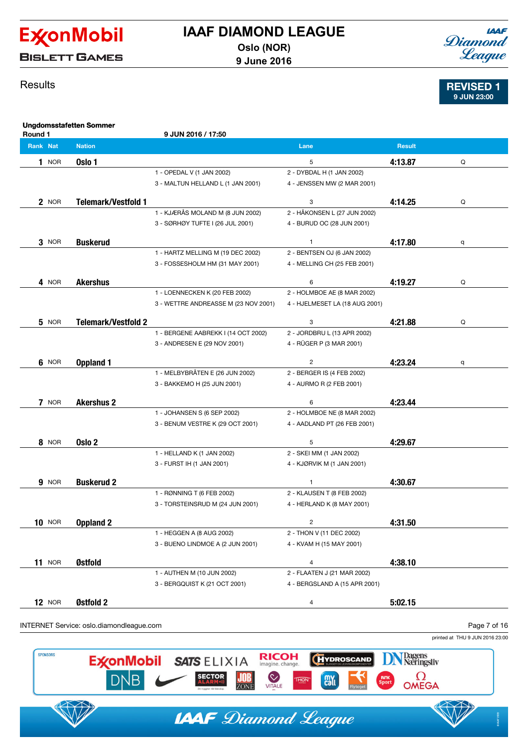

**BISLETT GAMES** 

## **IAAF** Diamond League

REVISED 1 9 JUN 23:00

## **Results**

Ungdomsstafetten Sommer Round 1 9 JUN 2016 / 17:50 Rank Nat Nation Lane Result 1 NOR  $\overline{0}$ sio 1  $\overline{0}$  Q 1 - OPEDAL V (1 JAN 2002) 2 - DYBDAL H (1 JAN 2002) 3 - MALTUN HELLAND L (1 JAN 2001) 4 - JENSSEN MW (2 MAR 2001) 2 NOR **Telemark/Vestfold 1** and 1 and 2 and 2 and 3 4:14.25 Q 1 - KJÆRÅS MOLAND M (8 JUN 2002) 2 - HÅKONSEN L (27 JUN 2002) 3 - SØRHØY TUFTE I (26 JUL 2001) 4 - BURUD OC (28 JUN 2001)  $3$  NOR **Buskerud** Q and  $4:17.80$  q 1 - HARTZ MELLING M (19 DEC 2002) 2 - BENTSEN OJ (6 JAN 2002) 3 - FOSSESHOLM HM (31 MAY 2001) 4 - MELLING CH (25 FEB 2001) 4 NOR **Akershus** Q **According to the Contract Contract Contract Contract Contract Contract Contract Contract Contract Contract Contract Contract Contract Contract Contract Contract Contract Contract Contract Contract Contr** 1 - LOENNECKEN K (20 FEB 2002) 2 - HOLMBOE AE (8 MAR 2002) 3 - WETTRE ANDREASSE M (23 NOV 2001) 4 - HJELMESET LA (18 AUG 2001) 5 NOR Telemark/Vestfold 2 and 3 4:21.88 and 4:21.88 and 4:21.88 and 4:21.88 and 4:21.88 and 4:21.88 and 4:21.88 and 4:21.88 and 4:21.88 and 4:21.88 and 4:21.88 and 4:21.88 and 4:21.88 and 4:21.88 and 4:21.88 and 4:21.88 an 1 - BERGENE AABREKK I (14 OCT 2002) 2 - JORDBRU L (13 APR 2002) 3 - ANDRESEN E (29 NOV 2001) 4 - RÜGER P (3 MAR 2001)  $6$  <sup>NOR 2</sup> **Oppland 1**  $1$   $1$   $2$   $4:23.24$   $1$   $1$ 1 - MELBYBRÅTEN E (26 JUN 2002) 2 - BERGER IS (4 FEB 2002) 3 - BAKKEMO H (25 JUN 2001) 4 - AURMO R (2 FEB 2001)  $7$  NOR and  $4:23.44$ 

|               |                   | 1 - JOHANSEN S (6 SEP 2002)      | 2 - HOLMBOE NE (8 MAR 2002)   |         |
|---------------|-------------------|----------------------------------|-------------------------------|---------|
|               |                   | 3 - BENUM VESTRE K (29 OCT 2001) | 4 - AADLAND PT (26 FEB 2001)  |         |
| <b>8</b> NOR  | Oslo 2            |                                  | 5                             | 4:29.67 |
|               |                   | 1 - HELLAND K (1 JAN 2002)       | 2 - SKEI MM (1 JAN 2002)      |         |
|               |                   | 3 - FURST IH (1 JAN 2001)        | 4 - KJØRVIK M (1 JAN 2001)    |         |
| 9 NOR         | <b>Buskerud 2</b> |                                  |                               | 4:30.67 |
|               |                   | 1 - RØNNING T (6 FEB 2002)       | 2 - KLAUSEN T (8 FEB 2002)    |         |
|               |                   | 3 - TORSTEINSRUD M (24 JUN 2001) | 4 - HERLAND K (8 MAY 2001)    |         |
| <b>10 NOR</b> | Oppland 2         |                                  | $\overline{c}$                | 4:31.50 |
|               |                   | 1 - HEGGEN A (8 AUG 2002)        | 2 - THON V (11 DEC 2002)      |         |
|               |                   | 3 - BUENO LINDMOE A (2 JUN 2001) | 4 - KVAM H (15 MAY 2001)      |         |
| <b>11 NOR</b> | Østfold           |                                  | $\overline{4}$                | 4:38.10 |
|               |                   | 1 - AUTHEN M (10 JUN 2002)       | 2 - FLAATEN J (21 MAR 2002)   |         |
|               |                   | 3 - BERGQUIST K (21 OCT 2001)    | 4 - BERGSLAND A (15 APR 2001) |         |
| $12$ NOR      | Østfold 2         |                                  | 4                             | 5:02.15 |

### INTERNET Service: oslo.diamondleague.com

Page 7 of 16

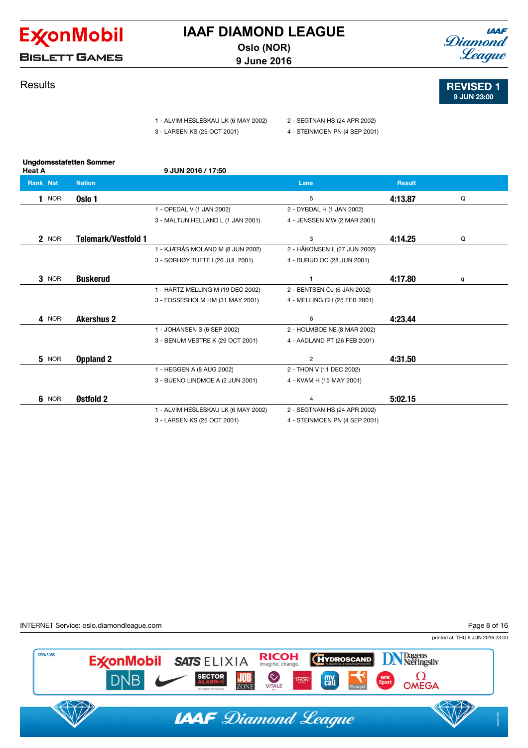

**BISLETT GAMES** 

## **Results**

- 1 ALVIM HESLESKAU LK (6 MAY 2002) 2 SEGTNAN HS (24 APR 2002)
- 
- 
- 3 LARSEN KS (25 OCT 2001) 4 STEINMOEN PN (4 SEP 2001)

| <b>Heat A</b>   | <b>Ungdomsstafetten Sommer</b> | 9 JUN 2016 / 17:50                  |                               |               |   |
|-----------------|--------------------------------|-------------------------------------|-------------------------------|---------------|---|
| <b>Rank Nat</b> | <b>Nation</b>                  |                                     | Lane                          | <b>Result</b> |   |
| <b>NOR</b>      | Oslo 1                         |                                     | 5                             | 4:13.87       | Q |
|                 |                                | 1 - OPEDAL V (1 JAN 2002)           | 2 - DYBDAL H (1 JAN 2002)     |               |   |
|                 |                                | 3 - MALTUN HELLAND L (1 JAN 2001)   | 4 - JENSSEN MW (2 MAR 2001)   |               |   |
| 2 NOR           | <b>Telemark/Vestfold 1</b>     |                                     | 3                             | 4:14.25       | Q |
|                 |                                | 1 - KJÆRÅS MOLAND M (8 JUN 2002)    | 2 - HÅKONSEN L (27 JUN 2002)  |               |   |
|                 |                                | 3 - SØRHØY TUFTE I (26 JUL 2001)    | 4 - BURUD OC (28 JUN 2001)    |               |   |
| 3 NOR           | <b>Buskerud</b>                |                                     |                               | 4:17.80       | q |
|                 |                                | 1 - HARTZ MELLING M (19 DEC 2002)   | 2 - BENTSEN OJ (6 JAN 2002)   |               |   |
|                 |                                | 3 - FOSSESHOLM HM (31 MAY 2001)     | 4 - MELLING CH (25 FEB 2001)  |               |   |
| 4 NOR           | <b>Akershus 2</b>              |                                     | 6                             | 4:23.44       |   |
|                 |                                | 1 - JOHANSEN S (6 SEP 2002)         | 2 - HOLMBOE NE (8 MAR 2002)   |               |   |
|                 |                                | 3 - BENUM VESTRE K (29 OCT 2001)    | 4 - AADLAND PT (26 FEB 2001)  |               |   |
| 5 NOR           | <b>Oppland 2</b>               |                                     | $\overline{2}$                | 4:31.50       |   |
|                 |                                | 1 - HEGGEN A (8 AUG 2002)           | 2 - THON V (11 DEC 2002)      |               |   |
|                 |                                | 3 - BUENO LINDMOE A (2 JUN 2001)    | 4 - KVAM H (15 MAY 2001)      |               |   |
| 6<br><b>NOR</b> | Østfold 2                      |                                     | $\overline{4}$                | 5:02.15       |   |
|                 |                                | 1 - ALVIM HESLESKAU LK (6 MAY 2002) | 2 - SEGTNAN HS (24 APR 2002)  |               |   |
|                 |                                | 3 - LARSEN KS (25 OCT 2001)         | 4 - STEINMOEN PN (4 SEP 2001) |               |   |







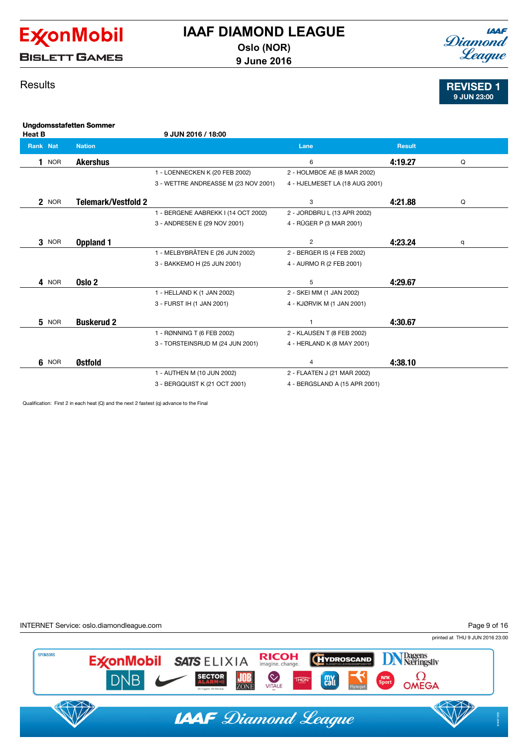

**BISLETT GAMES** 

## **IAAF** Diamond League

REVISED 1 9 JUN 23:00

## **Results**

| <b>Heat B</b>   | <b>Ungdomsstafetten Sommer</b> | 9 JUN 2016 / 18:00                   |                                |               |   |
|-----------------|--------------------------------|--------------------------------------|--------------------------------|---------------|---|
| <b>Rank Nat</b> | <b>Nation</b>                  |                                      | Lane                           | <b>Result</b> |   |
| <b>NOR</b>      | <b>Akershus</b>                |                                      | 6                              | 4:19.27       | Q |
|                 |                                | 1 - LOENNECKEN K (20 FEB 2002)       | 2 - HOLMBOE AE (8 MAR 2002)    |               |   |
|                 |                                | 3 - WETTRE ANDREASSE M (23 NOV 2001) | 4 - HJELMESET LA (18 AUG 2001) |               |   |
| 2 NOR           | <b>Telemark/Vestfold 2</b>     |                                      | 3                              | 4:21.88       | Q |
|                 |                                | 1 - BERGENE AABREKK I (14 OCT 2002)  | 2 - JORDBRU L (13 APR 2002)    |               |   |
|                 |                                | 3 - ANDRESEN E (29 NOV 2001)         | 4 - RÜGER P (3 MAR 2001)       |               |   |
| $3$ NOR         | Oppland 1                      |                                      | 2                              | 4:23.24       | q |
|                 |                                | 1 - MELBYBRÅTEN E (26 JUN 2002)      | 2 - BERGER IS (4 FEB 2002)     |               |   |
|                 |                                | 3 - BAKKEMO H (25 JUN 2001)          | 4 - AURMO R (2 FEB 2001)       |               |   |
| 4 NOR           | Oslo <sub>2</sub>              |                                      | 5                              | 4:29.67       |   |
|                 |                                | 1 - HELLAND K (1 JAN 2002)           | 2 - SKEI MM (1 JAN 2002)       |               |   |
|                 |                                | 3 - FURST IH (1 JAN 2001)            | 4 - KJØRVIK M (1 JAN 2001)     |               |   |
| 5 NOR           | <b>Buskerud 2</b>              |                                      | 1                              | 4:30.67       |   |
|                 |                                | 1 - RØNNING T (6 FEB 2002)           | 2 - KLAUSEN T (8 FEB 2002)     |               |   |
|                 |                                | 3 - TORSTEINSRUD M (24 JUN 2001)     | 4 - HERLAND K (8 MAY 2001)     |               |   |
| 6 NOR           | Østfold                        |                                      | 4                              | 4:38.10       |   |
|                 |                                | 1 - AUTHEN M (10 JUN 2002)           | 2 - FLAATEN J (21 MAR 2002)    |               |   |
|                 |                                | 3 - BERGQUIST K (21 OCT 2001)        | 4 - BERGSLAND A (15 APR 2001)  |               |   |

Qualification: First 2 in each heat (Q) and the next 2 fastest (q) advance to the Final

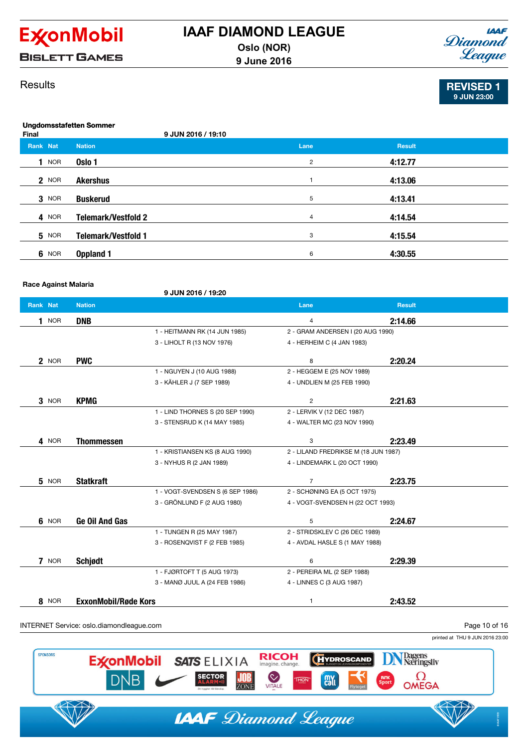

**9 June 2016**



## **Results**

|         | <b>IAAF</b> |
|---------|-------------|
| Diamond |             |
|         | League      |
|         |             |

REVISED 1 9 JUN 23:00

| Final           |              | <b>Ungdomsstafetten Sommer</b><br>9 JUN 2016 / 19:10 |                |               |  |
|-----------------|--------------|------------------------------------------------------|----------------|---------------|--|
| <b>Rank Nat</b> |              | <b>Nation</b>                                        | Lane           | <b>Result</b> |  |
|                 | <b>NOR</b>   | Oslo 1                                               | $\overline{2}$ | 4:12.77       |  |
|                 | 2 NOR        | <b>Akershus</b>                                      | 1              | 4:13.06       |  |
|                 | 3 NOR        | <b>Buskerud</b>                                      | 5              | 4:13.41       |  |
|                 | 4 NOR        | <b>Telemark/Vestfold 2</b>                           | 4              | 4:14.54       |  |
|                 | <b>5</b> NOR | <b>Telemark/Vestfold 1</b>                           | 3              | 4:15.54       |  |
|                 | 6 NOR        | Oppland 1                                            | 6              | 4:30.55       |  |

Race Against Malaria

9 JUN 2016 / 19:20

| Rank Nat     | <b>Nation</b>               |                                  | Lane                                 | <b>Result</b> |  |
|--------------|-----------------------------|----------------------------------|--------------------------------------|---------------|--|
| $1$ NOR      | <b>DNB</b>                  |                                  | $\overline{4}$                       | 2:14.66       |  |
|              |                             | 1 - HEITMANN RK (14 JUN 1985)    | 2 - GRAM ANDERSEN I (20 AUG 1990)    |               |  |
|              |                             | 3 - LIHOLT R (13 NOV 1976)       | 4 - HERHEIM C (4 JAN 1983)           |               |  |
| 2 NOR        | <b>PWC</b>                  |                                  | 8                                    | 2:20.24       |  |
|              |                             | 1 - NGUYEN J (10 AUG 1988)       | 2 - HEGGEM E (25 NOV 1989)           |               |  |
|              |                             | 3 - KÄHLER J (7 SEP 1989)        | 4 - UNDLIEN M (25 FEB 1990)          |               |  |
| $3$ NOR      | <b>KPMG</b>                 |                                  | $\overline{2}$                       | 2:21.63       |  |
|              |                             | 1 - LIND THORNES S (20 SEP 1990) | 2 - LERVIK V (12 DEC 1987)           |               |  |
|              |                             | 3 - STENSRUD K (14 MAY 1985)     | 4 - WALTER MC (23 NOV 1990)          |               |  |
| 4 NOR        | <b>Thommessen</b>           |                                  | 3                                    | 2:23.49       |  |
|              |                             | 1 - KRISTIANSEN KS (8 AUG 1990)  | 2 - LILAND FREDRIKSE M (18 JUN 1987) |               |  |
|              |                             | 3 - NYHUS R (2 JAN 1989)         | 4 - LINDEMARK L (20 OCT 1990)        |               |  |
| <b>5</b> NOR | <b>Statkraft</b>            |                                  | $\overline{7}$                       | 2:23.75       |  |
|              |                             | 1 - VOGT-SVENDSEN S (6 SEP 1986) | 2 - SCHØNING EA (5 OCT 1975)         |               |  |
|              |                             | 3 - GRÖNLUND F (2 AUG 1980)      | 4 - VOGT-SVENDSEN H (22 OCT 1993)    |               |  |
| 6 NOR        | Ge Oil And Gas              |                                  | 5                                    | 2:24.67       |  |
|              |                             | 1 - TUNGEN R (25 MAY 1987)       | 2 - STRIDSKLEV C (26 DEC 1989)       |               |  |
|              |                             | 3 - ROSENQVIST F (2 FEB 1985)    | 4 - AVDAL HASLE S (1 MAY 1988)       |               |  |
| 7 NOR        | Schjødt                     |                                  | 6                                    | 2:29.39       |  |
|              |                             | 1 - FJØRTOFT T (5 AUG 1973)      | 2 - PEREIRA ML (2 SEP 1988)          |               |  |
|              |                             | 3 - MANØ JUUL A (24 FEB 1986)    | 4 - LINNES C (3 AUG 1987)            |               |  |
| 8 NOR        | <b>ExxonMobil/Røde Kors</b> |                                  | $\mathbf{1}$                         | 2:43.52       |  |

printed at THU 9 JUN 2016 23:00



**IAAF** Diamond League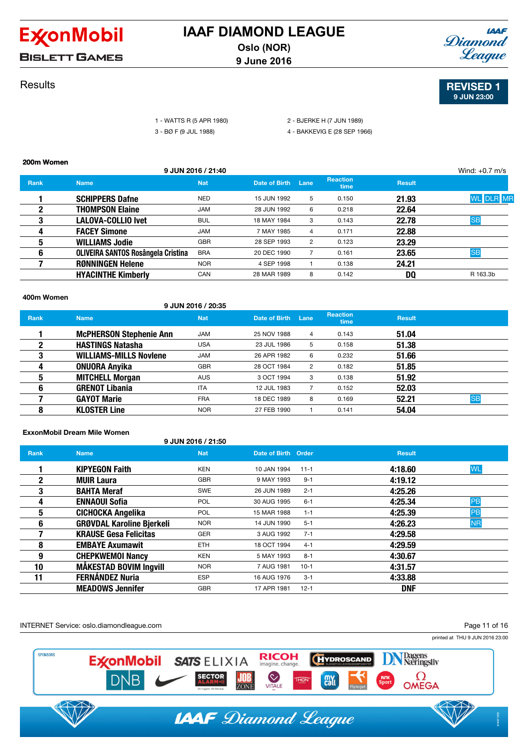

### **Results**



### REVISED 1 9 JUN 23:00

|                |                 | I - WATTS R (5 APR 1980) |
|----------------|-----------------|--------------------------|
| $\overline{ }$ | DA E/A H H 1000 |                          |

2 - BJERKE H (7 JUN 1989)

3 - BØ F (9 JUL 1988) 4 - BAKKEVIG E (28 SEP 1966)

#### 200m Women

400m Women

|             |                                           | 9 JUN 2016 / 21:40 |               |      |                         |               | Wind: $+0.7$ m/s |
|-------------|-------------------------------------------|--------------------|---------------|------|-------------------------|---------------|------------------|
| <b>Rank</b> | <b>Name</b>                               | <b>Nat</b>         | Date of Birth | Lane | <b>Reaction</b><br>time | <b>Result</b> |                  |
|             | <b>SCHIPPERS Dafne</b>                    | <b>NED</b>         | 15 JUN 1992   | 5    | 0.150                   | 21.93         | <b>WL</b> DLR MR |
|             | <b>THOMPSON Elaine</b>                    | <b>JAM</b>         | 28 JUN 1992   | 6    | 0.218                   | 22.64         |                  |
| 3           | LALOVA-COLLIO Ivet                        | <b>BUL</b>         | 18 MAY 1984   | 3    | 0.143                   | 22.78         | <b>SB</b>        |
| 4           | <b>FACEY Simone</b>                       | <b>JAM</b>         | 7 MAY 1985    | 4    | 0.171                   | 22.88         |                  |
| 5           | <b>WILLIAMS Jodie</b>                     | <b>GBR</b>         | 28 SEP 1993   | 2    | 0.123                   | 23.29         |                  |
| 6           | <b>OLIVEIRA SANTOS Rosângela Cristina</b> | <b>BRA</b>         | 20 DEC 1990   |      | 0.161                   | 23.65         | <b>SB</b>        |
|             | <b>RØNNINGEN Helene</b>                   | <b>NOR</b>         | 4 SEP 1998    |      | 0.138                   | 24.21         |                  |
|             | <b>HYACINTHE Kimberly</b>                 | CAN                | 28 MAR 1989   | 8    | 0.142                   | DO            | R 163.3b         |

### 9 JUN 2016 / 20:35 **Rank** Name Name Nat Nat Date of Birth Lane Reaction<br>time Result 1 **McPHERSON Stephenie Ann** JAM 25 NOV 1988 4 0.143 51.04 **2 HASTINGS Natasha** USA 23 JUL 1986 5 0.158 51.38 **3** WILLIAMS-MILLS Noviene JAM 26 APR 1982 6 0.232 51.66 **4 0NUORA Anyika** GBR 28 OCT 1984 2 0.182 51.85 **5 MITCHELL Morgan AUS** 3 OCT 1994 3 0.138 **51.92 6 GRENOT Libania ITA** 12 JUL 1983 7 0.152 52.03 **7 GAYOT Marie 18 DEC 1989 8 0.169 52.21 SB SB** 8 **KLOSTER Line** NOR 27 FEB 1990 1 0.141 54.04

### ExxonMobil Dream Mile Women

#### 9 JUN 2016 / 21:50

| <b>Rank</b> | <b>Name</b>                      | <b>Nat</b> | Date of Birth Order |          | <b>Result</b> |           |
|-------------|----------------------------------|------------|---------------------|----------|---------------|-----------|
|             | <b>KIPYEGON Faith</b>            | <b>KEN</b> | 10 JAN 1994         | $11 - 1$ | 4:18.60       | <b>WL</b> |
| $\mathbf 2$ | <b>MUIR Laura</b>                | <b>GBR</b> | 9 MAY 1993          | $9 - 1$  | 4:19.12       |           |
| 3           | <b>BAHTA Meraf</b>               | <b>SWE</b> | 26 JUN 1989         | $2 - 1$  | 4:25.26       |           |
| 4           | <b>ENNAOUI Sofia</b>             | <b>POL</b> | 30 AUG 1995         | $6 - 1$  | 4:25.34       | PB        |
| 5           | CICHOCKA Angelika                | <b>POL</b> | 15 MAR 1988         | $1 - 1$  | 4:25.39       | PB        |
| 6           | <b>GRØVDAL Karoline Bjerkeli</b> | <b>NOR</b> | 14 JUN 1990         | $5 - 1$  | 4:26.23       | <b>NR</b> |
|             | <b>KRAUSE Gesa Felicitas</b>     | <b>GER</b> | 3 AUG 1992          | $7 - 1$  | 4:29.58       |           |
| 8           | <b>EMBAYE Axumawit</b>           | ETH.       | 18 OCT 1994         | $4 - 1$  | 4:29.59       |           |
| 9           | <b>CHEPKWEMOI Nancy</b>          | <b>KEN</b> | 5 MAY 1993          | $8 - 1$  | 4:30.67       |           |
| 10          | <b>MÅKESTAD BOVIM Ingvill</b>    | <b>NOR</b> | 7 AUG 1981          | $10-1$   | 4:31.57       |           |
| 11          | <b>FERNÁNDEZ Nuria</b>           | <b>ESP</b> | 16 AUG 1976         | $3 - 1$  | 4:33.88       |           |
|             | <b>MEADOWS Jennifer</b>          | <b>GBR</b> | 17 APR 1981         | $12 - 1$ | <b>DNF</b>    |           |

INTERNET Service: oslo.diamondleague.com

Page 11 of 16

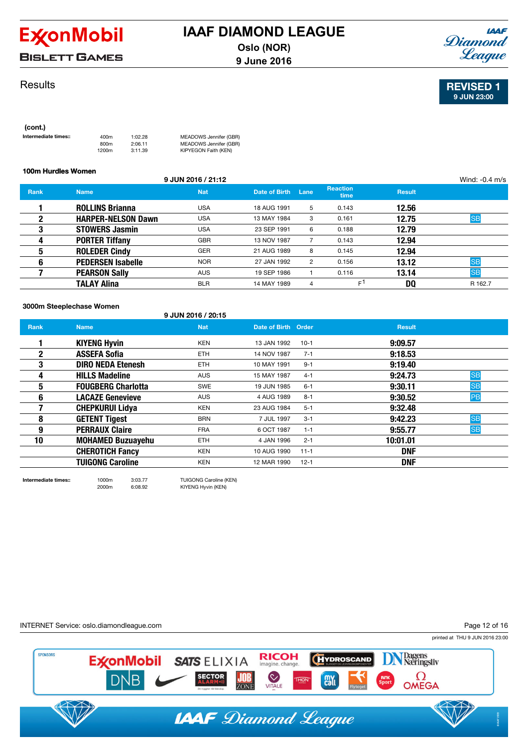

# **BISLETT GAMES**

## **Results**



### 100m Hurdles Women 9 JUN 2016 / 21:12 Wind: -0.4 m/s **Rank** Name Name Nat Date of Birth Lane Reaction Result 1 **ROLLINS Brianna** USA 18 AUG 1991 5 0.143 12.56 **2 HARPER-NELSON Dawn** USA 13 MAY 1984 3 0.161 12.75 SB **3 STOWERS Jasmin USA** 23 SEP 1991 6 0.188 **12.79 4 PORTER Tiffany GBR** 13 NOV 1987 7 0.143 **12.94 5 BOLEDER Cindy GER** 21 AUG 1989 8 0.145 **12.94 6 PEDERSEN Isabelle** NOR 27 JAN 1992 2 0.156 13.12 SB **7 PEARSON Sally AUS 19 SEP 1986 1** 0.116 **13.14** SB **TALAY Alina** experiment but the set of the set of the set of the set of the set of the set of the set of the set of the set of the set of the set of the set of the set of the set of the set of the set of the set of the s

#### 3000m Steeplechase Women

9 JUN 2016 / 20:15

| <b>Rank</b> | <b>Name</b>               | <b>Nat</b> | Date of Birth Order |          | <b>Result</b> |           |
|-------------|---------------------------|------------|---------------------|----------|---------------|-----------|
|             | <b>KIYENG Hyvin</b>       | <b>KEN</b> | 13 JAN 1992         | $10-1$   | 9:09.57       |           |
| 2           | <b>ASSEFA Sofia</b>       | <b>ETH</b> | 14 NOV 1987         | $7 - 1$  | 9:18.53       |           |
| 3           | <b>DIRO NEDA Etenesh</b>  | <b>ETH</b> | 10 MAY 1991         | $9 - 1$  | 9:19.40       |           |
| д           | <b>HILLS Madeline</b>     | <b>AUS</b> | 15 MAY 1987         | $4 - 1$  | 9:24.73       | <b>SB</b> |
| 5           | <b>FOUGBERG Charlotta</b> | <b>SWE</b> | 19 JUN 1985         | $6 - 1$  | 9:30.11       | <b>SB</b> |
| 6           | <b>LACAZE Genevieve</b>   | <b>AUS</b> | 4 AUG 1989          | $8 - 1$  | 9:30.52       | <b>PB</b> |
|             | <b>CHEPKURUI Lidya</b>    | <b>KEN</b> | 23 AUG 1984         | $5 - 1$  | 9:32.48       |           |
| 8           | <b>GETENT Tigest</b>      | <b>BRN</b> | 7 JUL 1997          | $3 - 1$  | 9:42.23       | <b>SB</b> |
| 9           | <b>PERRAUX Claire</b>     | <b>FRA</b> | 6 OCT 1987          | $1 - 1$  | 9:55.77       | <b>SB</b> |
| 10          | <b>MOHAMED Buzuayehu</b>  | <b>ETH</b> | 4 JAN 1996          | $2 - 1$  | 10:01.01      |           |
|             | <b>CHEROTICH Fancy</b>    | <b>KEN</b> | 10 AUG 1990         | $11 - 1$ | <b>DNF</b>    |           |
|             | <b>TUIGONG Caroline</b>   | <b>KEN</b> | 12 MAR 1990         | $12 - 1$ | <b>DNF</b>    |           |

2000m 6:08.92 KIYENG Hyvin (KEN)

Intermediate times:: 1000m 3:03.77 TUIGONG Caroline (KEN)





REVISED 1 9 JUN 23:00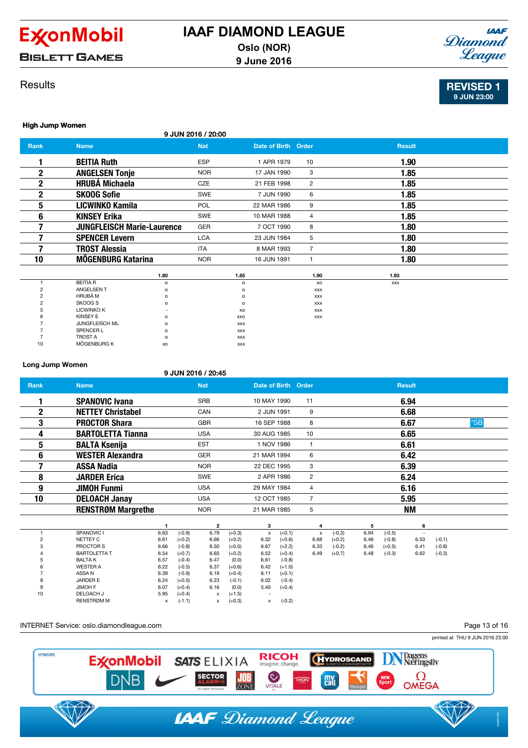

**BISLETT GAMES** 

### **Results**



REVISED 1 9 JUN 23:00

#### High Jump Women

| <b>Eligit Juliip Wolfell</b> |                                   |                    |                     |                |               |  |
|------------------------------|-----------------------------------|--------------------|---------------------|----------------|---------------|--|
|                              |                                   | 9 JUN 2016 / 20:00 |                     |                |               |  |
| <b>Rank</b>                  | <b>Name</b>                       | <b>Nat</b>         | Date of Birth Order |                | <b>Result</b> |  |
|                              | <b>BEITIA Ruth</b>                | ESP                | 1 APR 1979          | 10             | 1.90          |  |
| 2                            | <b>ANGELSEN Tonje</b>             | <b>NOR</b>         | 17 JAN 1990         | 3              | 1.85          |  |
| 2                            | <b>HRUBÁ Michaela</b>             | <b>CZE</b>         | 21 FEB 1998         | $\overline{2}$ | 1.85          |  |
| 2                            | <b>SKOOG Sofie</b>                | <b>SWE</b>         | 7 JUN 1990          | 6              | 1.85          |  |
| 5                            | LICWINKO Kamila                   | POL                | 22 MAR 1986         | 9              | 1.85          |  |
| 6                            | <b>KINSEY Erika</b>               | <b>SWE</b>         | 10 MAR 1988         | 4              | 1.85          |  |
|                              | <b>JUNGFLEISCH Marie-Laurence</b> | GER                | 7 OCT 1990          | 8              | 1.80          |  |
|                              | <b>SPENCER Levern</b>             | <b>LCA</b>         | 23 JUN 1984         | 5              | 1.80          |  |
|                              | <b>TROST Alessia</b>              | <b>ITA</b>         | 8 MAR 1993          | $\overline{7}$ | 1.80          |  |
| 10                           | <b>MÖGENBURG Katarina</b>         | <b>NOR</b>         | 16 JUN 1991         |                | 1.80          |  |
|                              | 1.80                              |                    | 1.85                | 1.90           | 1.93          |  |

|    |                   | 1.80     | 1.89       | 1.YU       | 1.93       |
|----|-------------------|----------|------------|------------|------------|
|    | <b>BEITIA R</b>   | $\circ$  | o          | XO         | <b>XXX</b> |
|    | ANGELSEN T        | $\circ$  | $\circ$    | <b>XXX</b> |            |
|    | HRUBÁ M           | $\Omega$ | $\Omega$   | <b>XXX</b> |            |
|    | SKOOG S           | o        | $\circ$    | <b>XXX</b> |            |
|    | <b>LICWINKO K</b> |          | XO         | <b>XXX</b> |            |
| h  | <b>KINSEY E</b>   | $\circ$  | XXO        | <b>XXX</b> |            |
|    | JUNGFLEISCH ML    | $\circ$  | <b>XXX</b> |            |            |
|    | SPENCER L         | $\circ$  | <b>XXX</b> |            |            |
|    | <b>TROST A</b>    | $\Omega$ | <b>XXX</b> |            |            |
| 10 | MÖGENBURG K       | XO       | <b>XXX</b> |            |            |
|    |                   |          |            |            |            |

### Long Jump Women

|                |                                    |              |                      | 9 JUN 2016 / 20:45 |                      |                     |          |                           |          |      |          |               |          |       |  |
|----------------|------------------------------------|--------------|----------------------|--------------------|----------------------|---------------------|----------|---------------------------|----------|------|----------|---------------|----------|-------|--|
| <b>Rank</b>    | <b>Name</b>                        |              |                      | <b>Nat</b>         |                      | Date of Birth Order |          |                           |          |      |          | <b>Result</b> |          |       |  |
|                | <b>SPANOVIC Ivana</b>              |              |                      | <b>SRB</b>         |                      | 10 MAY 1990         |          | 11                        |          |      |          | 6.94          |          |       |  |
| $\mathbf 2$    | <b>NETTEY Christabel</b>           |              |                      | CAN                |                      | 2 JUN 1991          |          | 9                         |          |      |          | 6.68          |          |       |  |
| 3              | <b>PROCTOR Shara</b>               |              |                      | <b>GBR</b>         |                      | 16 SEP 1988         |          | 8                         |          |      |          | 6.67          |          | $*SB$ |  |
| 4              | <b>BARTOLETTA Tianna</b>           |              |                      | <b>USA</b>         |                      | 30 AUG 1985         |          | 10                        |          |      |          | 6.65          |          |       |  |
| 5              | <b>BALTA Ksenija</b>               |              |                      | <b>EST</b>         |                      | 1 NOV 1986          |          | 1                         |          |      |          | 6.61          |          |       |  |
| 6              | <b>WESTER Alexandra</b>            |              |                      | <b>GER</b>         |                      | 21 MAR 1994         |          | 6                         |          |      |          | 6.42          |          |       |  |
| 7              | <b>ASSA Nadia</b>                  |              |                      | <b>NOR</b>         |                      | 22 DEC 1995         |          | 3                         |          |      |          | 6.39          |          |       |  |
| 8              | <b>JARDER Erica</b>                |              |                      | <b>SWE</b>         |                      | 2 APR 1986          |          | $\overline{2}$            |          |      |          | 6.24          |          |       |  |
| 9              | <b>JIMOH Funmi</b>                 |              |                      | <b>USA</b>         |                      | 29 MAY 1984         |          | 4                         |          |      |          | 6.16          |          |       |  |
| 10             | <b>DELOACH Janay</b>               |              |                      | <b>USA</b>         |                      | 12 OCT 1985         |          | $\overline{7}$            |          |      |          | 5.95          |          |       |  |
|                | <b>RENSTRØM Margrethe</b>          |              |                      | <b>NOR</b>         |                      | 21 MAR 1985         |          | 5                         |          |      |          | <b>NM</b>     |          |       |  |
|                |                                    |              |                      | 2                  |                      | з                   |          | 4                         |          | 5    |          | 6             |          |       |  |
| 1              | SPANOVIC I                         | 6.63         | $(-0.9)$             | 6.79               | $(+0.3)$             | x                   | $(+0.1)$ | $\boldsymbol{\mathsf{x}}$ | $(-0.3)$ | 6.94 | $(-0.5)$ | $\sim$        |          |       |  |
| $\overline{2}$ | NETTEY C                           | 6.61         | $(+0.2)$             | 6.66               | $(+0.2)$             | 6.32                | $(+0.6)$ | 6.68                      | $(+0.2)$ | 6.46 | $(-0.8)$ | 6.53          | $(-0.1)$ |       |  |
|                | PROCTOR S                          | 6.66         | $(-0.8)$             | 6.50               | $(+0.5)$             | 6.67                | $(+2.2)$ | 6.33                      | $(-0.2)$ | 6.46 | $(+0.5)$ | 6.41          | $(-0.8)$ |       |  |
|                | <b>BARTOLETTA T</b>                | 6.54         | $(+0.7)$             | 6.65               | $(+0.2)$             | 6.52                | $(+0.4)$ | 6.49                      | $(+0.7)$ | 6.48 | $(-0.3)$ | 6.62          | $(-0.3)$ |       |  |
|                | <b>BALTAK</b>                      | 6.57         | $(-0.4)$             | 6.47               | (0.0)                | 6.61                | $(-0.8)$ |                           |          |      |          |               |          |       |  |
|                | <b>WESTER A</b>                    | 6.22         | $(-0.5)$             | 6.37               | $(+0.6)$             | 6.42                | $(+1.0)$ |                           |          |      |          |               |          |       |  |
|                | ASSA N                             | 6.39         | $(-0.9)$             | 6.19               | $(+0.4)$             | 6.11                | $(+0.1)$ |                           |          |      |          |               |          |       |  |
|                | <b>JARDER E</b>                    | 6.24         | $(+0.5)$             | 6.23               | $(-0.1)$             | 6.02                | $(-0.4)$ |                           |          |      |          |               |          |       |  |
| 10             | <b>JIMOH F</b><br><b>DELOACH J</b> | 6.07<br>5.95 | $(+0.4)$<br>$(+0.4)$ | 6.16               | (0.0)                | 5.40                | $(+0.4)$ |                           |          |      |          |               |          |       |  |
|                | <b>RENSTRØM M</b>                  | x            | $(-1.1)$             | x<br>$\mathsf{x}$  | $(+1.5)$<br>$(+0.3)$ | $\mathsf{x}$        | $(-0.2)$ |                           |          |      |          |               |          |       |  |

### INTERNET Service: oslo.diamondleague.com

Page 13 of 16

printed at THU 9 JUN 2016 23:00



**IAAF** Diamond League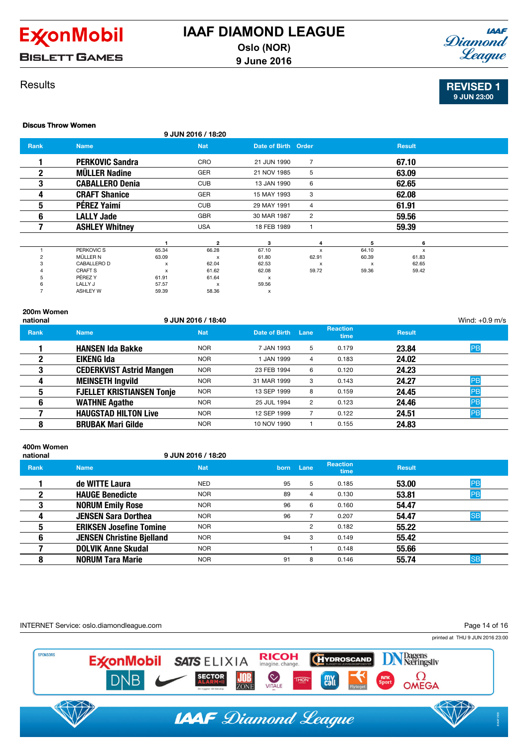





### **Results**

### REVISED 1 9 JUN 23:00

Discus Throw Women

| <b>DISCUS THROW WORLDELL</b> |                        |       |                           |                           |                           |                           |               |  |
|------------------------------|------------------------|-------|---------------------------|---------------------------|---------------------------|---------------------------|---------------|--|
|                              |                        |       | 9 JUN 2016 / 18:20        |                           |                           |                           |               |  |
| Rank                         | <b>Name</b>            |       | <b>Nat</b>                | Date of Birth Order       |                           |                           | <b>Result</b> |  |
|                              | <b>PERKOVIC Sandra</b> |       | CRO                       | 21 JUN 1990               | $\overline{7}$            |                           | 67.10         |  |
| 2                            | <b>MÜLLER Nadine</b>   |       | <b>GER</b>                | 21 NOV 1985               | 5                         |                           | 63.09         |  |
| 3                            | <b>CABALLERO Denia</b> |       | <b>CUB</b>                | 13 JAN 1990               | 6                         |                           | 62.65         |  |
| 4                            | <b>CRAFT Shanice</b>   |       | <b>GER</b>                | 15 MAY 1993               | 3                         |                           | 62.08         |  |
| 5                            | PÉREZ Yaimí            |       | <b>CUB</b>                | 29 MAY 1991               | 4                         |                           | 61.91         |  |
| 6                            | <b>LALLY Jade</b>      |       | <b>GBR</b>                | 30 MAR 1987               | $\overline{2}$            |                           | 59.56         |  |
|                              | <b>ASHLEY Whitney</b>  |       | <b>USA</b>                | 18 FEB 1989               |                           |                           | 59.39         |  |
|                              |                        |       | $\overline{2}$            | 3                         | 4                         | 5                         | 6             |  |
|                              | PERKOVIC S             | 65.34 | 66.28                     | 67.10                     | x                         | 64.10                     | X             |  |
| っ                            | MÜLLER N               | 63.09 | $\boldsymbol{\mathsf{x}}$ | 61.80                     | 62.91                     | 60.39                     | 61.83         |  |
|                              | CABALLERO D            | х     | 62.04                     | 62.53                     | $\boldsymbol{\mathsf{x}}$ | $\boldsymbol{\mathsf{x}}$ | 62.65         |  |
|                              | CRAFT <sub>S</sub>     | x     | 61.62                     | 62.08                     | 59.72                     | 59.36                     | 59.42         |  |
|                              | PÉREZ Y                | 61.91 | 61.64                     | $\boldsymbol{\mathsf{x}}$ |                           |                           |               |  |
|                              | LALLY J                | 57.57 | $\times$                  | 59.56                     |                           |                           |               |  |
|                              | <b>ASHLEY W</b>        | 59.39 | 58.36                     | х                         |                           |                           |               |  |

#### 200m Women

| national    |                                  | 9 JUN 2016 / 18:40 |               |      |                         |               | Wind: $+0.9$ m/s |
|-------------|----------------------------------|--------------------|---------------|------|-------------------------|---------------|------------------|
| <b>Rank</b> | <b>Name</b>                      | <b>Nat</b>         | Date of Birth | Lane | <b>Reaction</b><br>time | <b>Result</b> |                  |
|             | <b>HANSEN Ida Bakke</b>          | <b>NOR</b>         | 7 JAN 1993    | 5    | 0.179                   | 23.84         | <b>PB</b>        |
|             | <b>EIKENG Ida</b>                | <b>NOR</b>         | 1 JAN 1999    | 4    | 0.183                   | 24.02         |                  |
| 3           | <b>CEDERKVIST Astrid Mangen</b>  | <b>NOR</b>         | 23 FEB 1994   | 6    | 0.120                   | 24.23         |                  |
| 4           | <b>MEINSETH Ingvild</b>          | <b>NOR</b>         | 31 MAR 1999   | 3    | 0.143                   | 24.27         | PB               |
| 5           | <b>FJELLET KRISTIANSEN Tonje</b> | <b>NOR</b>         | 13 SEP 1999   | 8    | 0.159                   | 24.45         | PB               |
| 6           | <b>WATHNE Agathe</b>             | <b>NOR</b>         | 25 JUL 1994   | 2    | 0.123                   | 24.46         | <b>PB</b>        |
|             | <b>HAUGSTAD HILTON Live</b>      | <b>NOR</b>         | 12 SEP 1999   |      | 0.122                   | 24.51         | <b>PB</b>        |
| 8           | <b>BRUBAK Mari Gilde</b>         | <b>NOR</b>         | 10 NOV 1990   |      | 0.155                   | 24.83         |                  |

### 400m Women

| national |                                  | 9 JUN 2016 / 18:20 |      |      |                                |               |           |
|----------|----------------------------------|--------------------|------|------|--------------------------------|---------------|-----------|
| Rank     | <b>Name</b>                      | <b>Nat</b>         | born | Lane | <b>Reaction</b><br><b>time</b> | <b>Result</b> |           |
|          | de WITTE Laura                   | NED                | 95   | 5    | 0.185                          | 53.00         | PB        |
| 2        | <b>HAUGE Benedicte</b>           | <b>NOR</b>         | 89   | 4    | 0.130                          | 53.81         | PB        |
| 3        | <b>NORUM Emily Rose</b>          | <b>NOR</b>         | 96   | 6    | 0.160                          | 54.47         |           |
|          | <b>JENSEN Sara Dorthea</b>       | <b>NOR</b>         | 96   |      | 0.207                          | 54.47         | <b>SB</b> |
| 5        | <b>ERIKSEN Josefine Tomine</b>   | <b>NOR</b>         |      | 2    | 0.182                          | 55.22         |           |
| 6        | <b>JENSEN Christine Bjelland</b> | <b>NOR</b>         | 94   | 3    | 0.149                          | 55.42         |           |
|          | <b>DOLVIK Anne Skudal</b>        | <b>NOR</b>         |      |      | 0.148                          | 55.66         |           |
|          | <b>NORUM Tara Marie</b>          | <b>NOR</b>         | 91   | 8    | 0.146                          | 55.74         | <b>SB</b> |

INTERNET Service: oslo.diamondleague.com Page 14 of 16printed at THU 9 JUN 2016 23:00 **SPONSORS** Dagens<br>Næringsliv **RICOH ExcnMobil HYDROSCAND SATS ELIXIA** imagine, change. VITALE  $\Omega$ OMEGA **SECTOR** JOB **DNB Call THON** 

ZONE

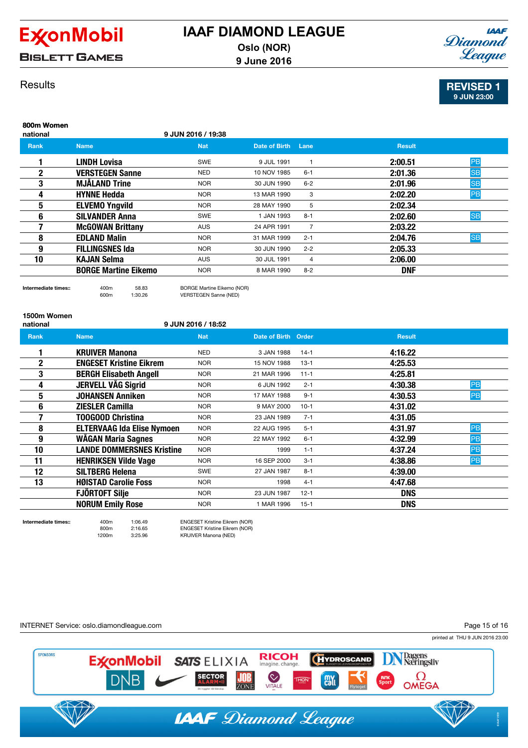

**BISLETT GAMES** 

## **IAAF** Diamond League

## **Results**

REVISED 1 9 JUN 23:00

| 800m Women<br>national |                             | 9 JUN 2016 / 19:38 |               |                |               |           |
|------------------------|-----------------------------|--------------------|---------------|----------------|---------------|-----------|
| <b>Rank</b>            | <b>Name</b>                 | <b>Nat</b>         | Date of Birth | Lane           | <b>Result</b> |           |
|                        | <b>LINDH Lovisa</b>         | <b>SWE</b>         | 9 JUL 1991    |                | 2:00.51       | PB        |
| $\mathbf{2}$           | <b>VERSTEGEN Sanne</b>      | <b>NED</b>         | 10 NOV 1985   | $6 - 1$        | 2:01.36       | <b>SB</b> |
| 3                      | <b>MJÄLAND Trine</b>        | <b>NOR</b>         | 30 JUN 1990   | $6 - 2$        | 2:01.96       | <b>SB</b> |
| 4                      | <b>HYNNE Hedda</b>          | <b>NOR</b>         | 13 MAR 1990   | 3              | 2:02.20       | PB        |
| 5                      | <b>ELVEMO Yngvild</b>       | <b>NOR</b>         | 28 MAY 1990   | 5              | 2:02.34       |           |
| 6                      | <b>SILVANDER Anna</b>       | <b>SWE</b>         | 1 JAN 1993    | $8 - 1$        | 2:02.60       | <b>SB</b> |
|                        | <b>McGOWAN Brittany</b>     | <b>AUS</b>         | 24 APR 1991   | $\overline{7}$ | 2:03.22       |           |
| 8                      | <b>EDLAND Malin</b>         | <b>NOR</b>         | 31 MAR 1999   | $2 - 1$        | 2:04.76       | <b>SB</b> |
| 9                      | <b>FILLINGSNES Ida</b>      | NOR                | 30 JUN 1990   | $2 - 2$        | 2:05.33       |           |
| 10                     | <b>KAJAN Selma</b>          | <b>AUS</b>         | 30 JUL 1991   | 4              | 2:06.00       |           |
|                        | <b>BORGE Martine Eikemo</b> | <b>NOR</b>         | 8 MAR 1990    | $8 - 2$        | <b>DNF</b>    |           |
|                        |                             |                    |               |                |               |           |

## 1500m Women

#### national 9 JUN 2016 / 18:52

600m 1:30.26 VERSTEGEN Sanne (NED)

| <b>Rank</b> | <b>Name</b>                       | <b>Nat</b> | Date of Birth Order |          | <b>Result</b>        |
|-------------|-----------------------------------|------------|---------------------|----------|----------------------|
|             | <b>KRUIVER Manona</b>             | <b>NED</b> | 3 JAN 1988          | $14-1$   | 4:16.22              |
| 2           | <b>ENGESET Kristine Eikrem</b>    | <b>NOR</b> | 15 NOV 1988         | $13 - 1$ | 4:25.53              |
| 3           | <b>BERGH Elisabeth Angell</b>     | NOR        | 21 MAR 1996         | $11 - 1$ | 4:25.81              |
| 4           | <b>JERVELL VÅG Sigrid</b>         | <b>NOR</b> | 6 JUN 1992          | $2 - 1$  | 4:30.38<br>PB        |
| 5           | <b>JOHANSEN Anniken</b>           | <b>NOR</b> | 17 MAY 1988         | $9 - 1$  | PB<br>4:30.53        |
| 6           | <b>ZIESLER Camilla</b>            | <b>NOR</b> | 9 MAY 2000          | $10-1$   | 4:31.02              |
| 7           | <b>T00G00D Christina</b>          | <b>NOR</b> | 23 JAN 1989         | $7 - 1$  | 4:31.05              |
| 8           | <b>ELTERVAAG Ida Elise Nymoen</b> | <b>NOR</b> | 22 AUG 1995         | $5 - 1$  | PB<br>4:31.97        |
| 9           | WÅGAN Maria Sagnes                | <b>NOR</b> | 22 MAY 1992         | $6 - 1$  | PB<br>4:32.99        |
| 10          | <b>LANDE DOMMERSNES Kristine</b>  | <b>NOR</b> | 1999                | $1 - 1$  | 4:37.24<br>PB        |
| 11          | <b>HENRIKSEN Vilde Vage</b>       | <b>NOR</b> | 16 SEP 2000         | $3 - 1$  | <b>PB</b><br>4:38.86 |
| 12          | <b>SILTBERG Helena</b>            | <b>SWE</b> | 27 JAN 1987         | $8 - 1$  | 4:39.00              |
| 13          | <b>HØISTAD Carolie Foss</b>       | NOR        | 1998                | $4 - 1$  | 4:47.68              |
|             | <b>FJÖRTOFT Silje</b>             | <b>NOR</b> | 23 JUN 1987         | $12 - 1$ | <b>DNS</b>           |
|             | <b>NORUM Emily Rose</b>           | <b>NOR</b> | 1 MAR 1996          | $15 - 1$ | <b>DNS</b>           |

Intermediate times:: 400m 58.83 BORGE Martine Eikemo (NOR)

Intermediate times:: 400m 1:06.49 ENGESET Kristine Eikrem (NOR) ENGESET Kristine Eikrem (NOR)

1200m 3:25.96 KRUIVER Manona (NED)

INTERNET Service: oslo.diamondleague.com Page 15 of 16printed at THU 9 JUN 2016 23:00 Dagens<br>Næringsliv **SPONSORS ExconMobil RICOH HYDROSCAND SATS ELIXIA** imagine, change. VITALE  $\Omega$ OMEGA **DNB SECTOR** JOB **Call THON** ZONE **IAAF** Diamond League